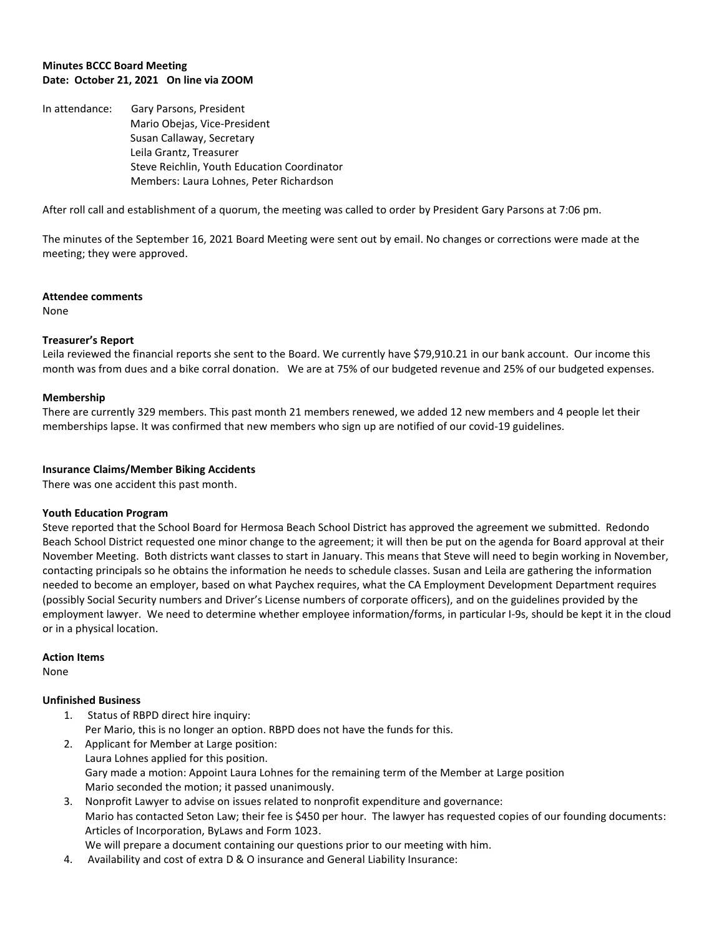## **Minutes BCCC Board Meeting Date: October 21, 2021 On line via ZOOM**

In attendance: Gary Parsons, President Mario Obejas, Vice-President Susan Callaway, Secretary Leila Grantz, Treasurer Steve Reichlin, Youth Education Coordinator Members: Laura Lohnes, Peter Richardson

After roll call and establishment of a quorum, the meeting was called to order by President Gary Parsons at 7:06 pm.

The minutes of the September 16, 2021 Board Meeting were sent out by email. No changes or corrections were made at the meeting; they were approved.

#### **Attendee comments**

None

## **Treasurer's Report**

Leila reviewed the financial reports she sent to the Board. We currently have \$79,910.21 in our bank account. Our income this month was from dues and a bike corral donation. We are at 75% of our budgeted revenue and 25% of our budgeted expenses.

### **Membership**

There are currently 329 members. This past month 21 members renewed, we added 12 new members and 4 people let their memberships lapse. It was confirmed that new members who sign up are notified of our covid-19 guidelines.

### **Insurance Claims/Member Biking Accidents**

There was one accident this past month.

#### **Youth Education Program**

Steve reported that the School Board for Hermosa Beach School District has approved the agreement we submitted. Redondo Beach School District requested one minor change to the agreement; it will then be put on the agenda for Board approval at their November Meeting. Both districts want classes to start in January. This means that Steve will need to begin working in November, contacting principals so he obtains the information he needs to schedule classes. Susan and Leila are gathering the information needed to become an employer, based on what Paychex requires, what the CA Employment Development Department requires (possibly Social Security numbers and Driver's License numbers of corporate officers), and on the guidelines provided by the employment lawyer. We need to determine whether employee information/forms, in particular I-9s, should be kept it in the cloud or in a physical location.

#### **Action Items**

None

# **Unfinished Business**

- 1. Status of RBPD direct hire inquiry: Per Mario, this is no longer an option. RBPD does not have the funds for this.
- 2. Applicant for Member at Large position: Laura Lohnes applied for this position. Gary made a motion: Appoint Laura Lohnes for the remaining term of the Member at Large position Mario seconded the motion; it passed unanimously.
- 3. Nonprofit Lawyer to advise on issues related to nonprofit expenditure and governance: Mario has contacted Seton Law; their fee is \$450 per hour. The lawyer has requested copies of our founding documents: Articles of Incorporation, ByLaws and Form 1023.
	- We will prepare a document containing our questions prior to our meeting with him.
- 4. Availability and cost of extra D & O insurance and General Liability Insurance: